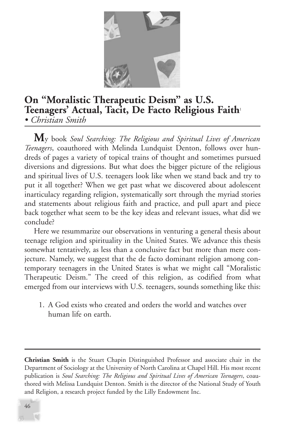

# **On "Moralistic Therapeutic Deism" as U.S. Teenagers' Actual, Tacit, De Facto Religious Faith**<sup>1</sup> *• Christian Smith*

**M**<sup>y</sup> book *Soul Searching: The Religious and Spiritual Lives of American Teenagers*, coauthored with Melinda Lundquist Denton, follows over hundreds of pages a variety of topical trains of thought and sometimes pursued diversions and digressions. But what does the bigger picture of the religious and spiritual lives of U.S. teenagers look like when we stand back and try to put it all together? When we get past what we discovered about adolescent inarticulacy regarding religion, systematically sort through the myriad stories and statements about religious faith and practice, and pull apart and piece back together what seem to be the key ideas and relevant issues, what did we conclude?

Here we resummarize our observations in venturing a general thesis about teenage religion and spirituality in the United States. We advance this thesis somewhat tentatively, as less than a conclusive fact but more than mere conjecture. Namely, we suggest that the de facto dominant religion among contemporary teenagers in the United States is what we might call "Moralistic Therapeutic Deism." The creed of this religion, as codified from what emerged from our interviews with U.S. teenagers, sounds something like this:

1. A God exists who created and orders the world and watches over human life on earth.

**Christian Smith** is the Stuart Chapin Distinguished Professor and associate chair in the Department of Sociology at the University of North Carolina at Chapel Hill. His most recent publication is *Soul Searching: The Religious and Spiritual Lives of American Teenagers*, coauthored with Melissa Lundquist Denton. Smith is the director of the National Study of Youth and Religion, a research project funded by the Lilly Endowment Inc.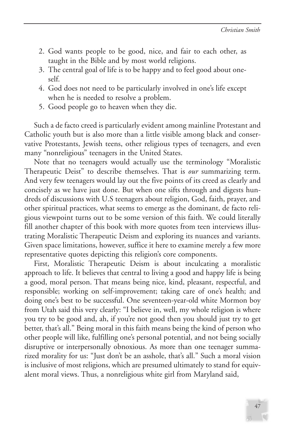- 2. God wants people to be good, nice, and fair to each other, as taught in the Bible and by most world religions.
- 3. The central goal of life is to be happy and to feel good about oneself.
- 4. God does not need to be particularly involved in one's life except when he is needed to resolve a problem.
- 5. Good people go to heaven when they die.

Such a de facto creed is particularly evident among mainline Protestant and Catholic youth but is also more than a little visible among black and conservative Protestants, Jewish teens, other religious types of teenagers, and even many "nonreligious" teenagers in the United States.

Note that no teenagers would actually use the terminology "Moralistic Therapeutic Deist" to describe themselves. That is *our* summarizing term. And very few teenagers would lay out the five points of its creed as clearly and concisely as we have just done. But when one sifts through and digests hundreds of discussions with U.S teenagers about religion, God, faith, prayer, and other spiritual practices, what seems to emerge as the dominant, de facto religious viewpoint turns out to be some version of this faith. We could literally fill another chapter of this book with more quotes from teen interviews illustrating Moralistic Therapeutic Deism and exploring its nuances and variants. Given space limitations, however, suffice it here to examine merely a few more representative quotes depicting this religion's core components.

First, Moralistic Therapeutic Deism is about inculcating a moralistic approach to life. It believes that central to living a good and happy life is being a good, moral person. That means being nice, kind, pleasant, respectful, and responsible; working on self-improvement; taking care of one's health; and doing one's best to be successful. One seventeen-year-old white Mormon boy from Utah said this very clearly: "I believe in, well, my whole religion is where you try to be good and, ah, if you're not good then you should just try to get better, that's all." Being moral in this faith means being the kind of person who other people will like, fulfilling one's personal potential, and not being socially disruptive or interpersonally obnoxious. As more than one teenager summarized morality for us: "Just don't be an asshole, that's all." Such a moral vision is inclusive of most religions, which are presumed ultimately to stand for equivalent moral views. Thus, a nonreligious white girl from Maryland said,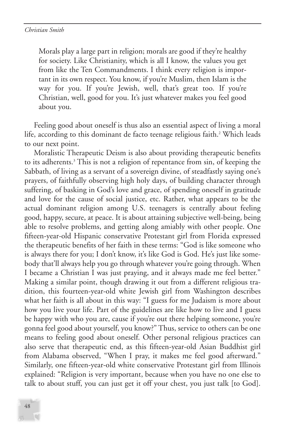Morals play a large part in religion; morals are good if they're healthy for society. Like Christianity, which is all I know, the values you get from like the Ten Commandments. I think every religion is important in its own respect. You know, if you're Muslim, then Islam is the way for you. If you're Jewish, well, that's great too. If you're Christian, well, good for you. It's just whatever makes you feel good about you.

Feeling good about oneself is thus also an essential aspect of living a moral life, according to this dominant de facto teenage religious faith.<sup>2</sup> Which leads to our next point.

Moralistic Therapeutic Deism is also about providing therapeutic benefits to its adherents.<sup>3</sup> This is not a religion of repentance from sin, of keeping the Sabbath, of living as a servant of a sovereign divine, of steadfastly saying one's prayers, of faithfully observing high holy days, of building character through suffering, of basking in God's love and grace, of spending oneself in gratitude and love for the cause of social justice, etc. Rather, what appears to be the actual dominant religion among U.S. teenagers is centrally about feeling good, happy, secure, at peace. It is about attaining subjective well-being, being able to resolve problems, and getting along amiably with other people. One fifteen-year-old Hispanic conservative Protestant girl from Florida expressed the therapeutic benefits of her faith in these terms: "God is like someone who is always there for you; I don't know, it's like God is God. He's just like somebody that'll always help you go through whatever you're going through. When I became a Christian I was just praying, and it always made me feel better." Making a similar point, though drawing it out from a different religious tradition, this fourteen-year-old white Jewish girl from Washington describes what her faith is all about in this way: "I guess for me Judaism is more about how you live your life. Part of the guidelines are like how to live and I guess be happy with who you are, cause if you're out there helping someone, you're gonna feel good about yourself, you know?" Thus, service to others can be one means to feeling good about oneself. Other personal religious practices can also serve that therapeutic end, as this fifteen-year-old Asian Buddhist girl from Alabama observed, "When I pray, it makes me feel good afterward." Similarly, one fifteen-year-old white conservative Protestant girl from Illinois explained: "Religion is very important, because when you have no one else to talk to about stuff, you can just get it off your chest, you just talk [to God].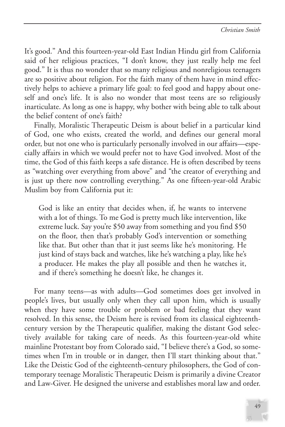It's good." And this fourteen-year-old East Indian Hindu girl from California said of her religious practices, "I don't know, they just really help me feel good." It is thus no wonder that so many religious and nonreligious teenagers are so positive about religion. For the faith many of them have in mind effectively helps to achieve a primary life goal: to feel good and happy about oneself and one's life. It is also no wonder that most teens are so religiously inarticulate. As long as one is happy, why bother with being able to talk about the belief content of one's faith?

Finally, Moralistic Therapeutic Deism is about belief in a particular kind of God, one who exists, created the world, and defines our general moral order, but not one who is particularly personally involved in our affairs—especially affairs in which we would prefer not to have God involved. Most of the time, the God of this faith keeps a safe distance. He is often described by teens as "watching over everything from above" and "the creator of everything and is just up there now controlling everything." As one fifteen-year-old Arabic Muslim boy from California put it:

God is like an entity that decides when, if, he wants to intervene with a lot of things. To me God is pretty much like intervention, like extreme luck. Say you're \$50 away from something and you find \$50 on the floor, then that's probably God's intervention or something like that. But other than that it just seems like he's monitoring. He just kind of stays back and watches, like he's watching a play, like he's a producer. He makes the play all possible and then he watches it, and if there's something he doesn't like, he changes it.

For many teens—as with adults—God sometimes does get involved in people's lives, but usually only when they call upon him, which is usually when they have some trouble or problem or bad feeling that they want resolved. In this sense, the Deism here is revised from its classical eighteenthcentury version by the Therapeutic qualifier, making the distant God selectively available for taking care of needs. As this fourteen-year-old white mainline Protestant boy from Colorado said, "I believe there's a God, so sometimes when I'm in trouble or in danger, then I'll start thinking about that." Like the Deistic God of the eighteenth-century philosophers, the God of contemporary teenage Moralistic Therapeutic Deism is primarily a divine Creator and Law-Giver. He designed the universe and establishes moral law and order.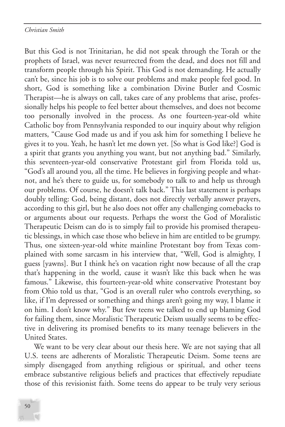But this God is not Trinitarian, he did not speak through the Torah or the prophets of Israel, was never resurrected from the dead, and does not fill and transform people through his Spirit. This God is not demanding. He actually can't be, since his job is to solve our problems and make people feel good. In short, God is something like a combination Divine Butler and Cosmic Therapist—he is always on call, takes care of any problems that arise, professionally helps his people to feel better about themselves, and does not become too personally involved in the process. As one fourteen-year-old white Catholic boy from Pennsylvania responded to our inquiry about why religion matters, "Cause God made us and if you ask him for something I believe he gives it to you. Yeah, he hasn't let me down yet. [So what is God like?] God is a spirit that grants you anything you want, but not anything bad." Similarly, this seventeen-year-old conservative Protestant girl from Florida told us, "God's all around you, all the time. He believes in forgiving people and whatnot, and he's there to guide us, for somebody to talk to and help us through our problems. Of course, he doesn't talk back." This last statement is perhaps doubly telling: God, being distant, does not directly verbally answer prayers, according to this girl, but he also does not offer any challenging comebacks to or arguments about our requests. Perhaps the worst the God of Moralistic Therapeutic Deism can do is to simply fail to provide his promised therapeutic blessings, in which case those who believe in him are entitled to be grumpy. Thus, one sixteen-year-old white mainline Protestant boy from Texas complained with some sarcasm in his interview that, "Well, God is almighty, I guess [yawns]. But I think he's on vacation right now because of all the crap that's happening in the world, cause it wasn't like this back when he was famous." Likewise, this fourteen-year-old white conservative Protestant boy from Ohio told us that, "God is an overall ruler who controls everything, so like, if I'm depressed or something and things aren't going my way, I blame it on him. I don't know why." But few teens we talked to end up blaming God for failing them, since Moralistic Therapeutic Deism usually seems to be effective in delivering its promised benefits to its many teenage believers in the United States.

We want to be very clear about our thesis here. We are not saying that all U.S. teens are adherents of Moralistic Therapeutic Deism. Some teens are simply disengaged from anything religious or spiritual, and other teens embrace substantive religious beliefs and practices that effectively repudiate those of this revisionist faith. Some teens do appear to be truly very serious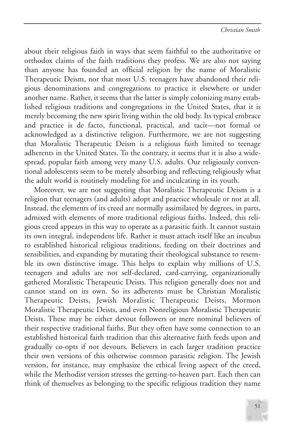about their religious faith in ways that seem faithful to the authoritative or orthodox claims of the faith traditions they profess. We are also not saying than anyone has founded an official religion by the name of Moralistic Therapeutic Deism, nor that most U.S. teenagers have abandoned their religious denominations and congregations to practice it elsewhere or under another name. Rather, it seems that the latter is simply colonizing many established religious traditions and congregations in the United States, that it is merely becoming the new spirit living within the old body. Its typical embrace and practice is de facto, functional, practical, and tacit—not formal or acknowledged as a distinctive religion. Furthermore, we are not suggesting that Moralistic Therapeutic Deism is a religious faith limited to teenage adherents in the United States. To the contrary, it seems that it is also a widespread, popular faith among very many U.S. adults. Our religiously conventional adolescents seem to be merely absorbing and reflecting religiously what the adult world is routinely modeling for and inculcating in its youth.

Moreover, we are not suggesting that Moralistic Therapeutic Deism is a religion that teenagers (and adults) adopt and practice wholesale or not at all. Instead, the elements of its creed are normally assimilated by degrees, in parts, admixed with elements of more traditional religious faiths. Indeed, this religious creed appears in this way to operate as a parasitic faith. It cannot sustain its own integral, independent life. Rather it must attach itself like an incubus to established historical religious traditions, feeding on their doctrines and sensibilities, and expanding by mutating their theological substance to resemble its own distinctive image. This helps to explain why millions of U.S. teenagers and adults are not self-declared, card-carrying, organizationally gathered Moralistic Therapeutic Deists. This religion generally does not and cannot stand on its own. So its adherents must be Christian Moralistic Therapeutic Deists, Jewish Moralistic Therapeutic Deists, Mormon Moralistic Therapeutic Deists, and even Nonreligious Moralistic Therapeutic Deists. These may be either devout followers or mere nominal believers of their respective traditional faiths. But they often have some connection to an established historical faith tradition that this alternative faith feeds upon and gradually co-opts if not devours. Believers in each larger tradition practice their own versions of this otherwise common parasitic religion. The Jewish version, for instance, may emphasize the ethical living aspect of the creed, while the Methodist version stresses the getting-to-heaven part. Each then can think of themselves as belonging to the specific religious tradition they name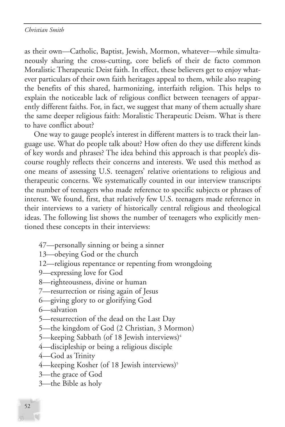as their own—Catholic, Baptist, Jewish, Mormon, whatever—while simultaneously sharing the cross-cutting, core beliefs of their de facto common Moralistic Therapeutic Deist faith. In effect, these believers get to enjoy whatever particulars of their own faith heritages appeal to them, while also reaping the benefits of this shared, harmonizing, interfaith religion. This helps to explain the noticeable lack of religious conflict between teenagers of apparently different faiths. For, in fact, we suggest that many of them actually share the same deeper religious faith: Moralistic Therapeutic Deism. What is there to have conflict about?

One way to gauge people's interest in different matters is to track their language use. What do people talk about? How often do they use different kinds of key words and phrases? The idea behind this approach is that people's discourse roughly reflects their concerns and interests. We used this method as one means of assessing U.S. teenagers' relative orientations to religious and therapeutic concerns. We systematically counted in our interview transcripts the number of teenagers who made reference to specific subjects or phrases of interest. We found, first, that relatively few U.S. teenagers made reference in their interviews to a variety of historically central religious and theological ideas. The following list shows the number of teenagers who explicitly mentioned these concepts in their interviews:

- 47—personally sinning or being a sinner
- 13—obeying God or the church
- 12—religious repentance or repenting from wrongdoing
- 9—expressing love for God
- 8—righteousness, divine or human
- 7—resurrection or rising again of Jesus
- 6—giving glory to or glorifying God
- 6—salvation
- 5—resurrection of the dead on the Last Day
- 5—the kingdom of God (2 Christian, 3 Mormon)
- 5—keeping Sabbath (of 18 Jewish interviews)<sup>4</sup>
- 4—discipleship or being a religious disciple
- 4—God as Trinity
- 4—keeping Kosher (of 18 Jewish interviews)<sup>5</sup>
- 3—the grace of God
- 3—the Bible as holy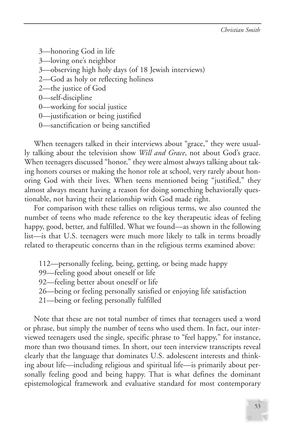3—honoring God in life

3—loving one's neighbor

3—observing high holy days (of 18 Jewish interviews)

2—God as holy or reflecting holiness

2—the justice of God

0—self-discipline

0—working for social justice

0—justification or being justified

0—sanctification or being sanctified

When teenagers talked in their interviews about "grace," they were usually talking about the television show *Will and Grace*, not about God's grace. When teenagers discussed "honor," they were almost always talking about taking honors courses or making the honor role at school, very rarely about honoring God with their lives. When teens mentioned being "justified," they almost always meant having a reason for doing something behaviorally questionable, not having their relationship with God made right.

For comparison with these tallies on religious terms, we also counted the number of teens who made reference to the key therapeutic ideas of feeling happy, good, better, and fulfilled. What we found—as shown in the following list—is that U.S. teenagers were much more likely to talk in terms broadly related to therapeutic concerns than in the religious terms examined above:

112—personally feeling, being, getting, or being made happy

99—feeling good about oneself or life

92—feeling better about oneself or life

26—being or feeling personally satisfied or enjoying life satisfaction

21—being or feeling personally fulfilled

Note that these are not total number of times that teenagers used a word or phrase, but simply the number of teens who used them. In fact, our interviewed teenagers used the single, specific phrase to "feel happy," for instance, more than two thousand times. In short, our teen interview transcripts reveal clearly that the language that dominates U.S. adolescent interests and thinking about life—including religious and spiritual life—is primarily about personally feeling good and being happy. That is what defines the dominant epistemological framework and evaluative standard for most contemporary

53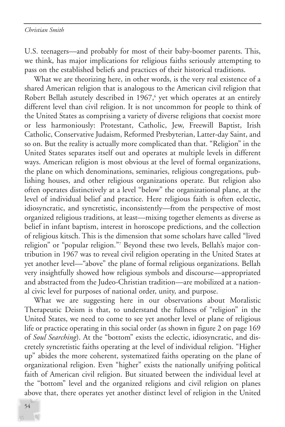U.S. teenagers—and probably for most of their baby-boomer parents. This, we think, has major implications for religious faiths seriously attempting to pass on the established beliefs and practices of their historical traditions.

What we are theorizing here, in other words, is the very real existence of a shared American religion that is analogous to the American civil religion that Robert Bellah astutely described in 1967,<sup>6</sup> yet which operates at an entirely different level than civil religion. It is not uncommon for people to think of the United States as comprising a variety of diverse religions that coexist more or less harmoniously: Protestant, Catholic, Jew, Freewill Baptist, Irish Catholic, Conservative Judaism, Reformed Presbyterian, Latter-day Saint, and so on. But the reality is actually more complicated than that. "Religion" in the United States separates itself out and operates at multiple levels in different ways. American religion is most obvious at the level of formal organizations, the plane on which denominations, seminaries, religious congregations, publishing houses, and other religious organizations operate. But religion also often operates distinctively at a level "below" the organizational plane, at the level of individual belief and practice. Here religious faith is often eclectic, idiosyncratic, and syncretistic, inconsistently—from the perspective of most organized religious traditions, at least—mixing together elements as diverse as belief in infant baptism, interest in horoscope predictions, and the collection of religious kitsch. This is the dimension that some scholars have called "lived religion" or "popular religion."7 Beyond these two levels, Bellah's major contribution in 1967 was to reveal civil religion operating in the United States at yet another level—"above" the plane of formal religious organizations. Bellah very insightfully showed how religious symbols and discourse—appropriated and abstracted from the Judeo-Christian tradition—are mobilized at a national civic level for purposes of national order, unity, and purpose.

What we are suggesting here in our observations about Moralistic Therapeutic Deism is that, to understand the fullness of "religion" in the United States, we need to come to see yet another level or plane of religious life or practice operating in this social order (as shown in figure 2 on page 169 of *Soul Searching*). At the "bottom" exists the eclectic, idiosyncratic, and discretely syncretistic faiths operating at the level of individual religion. "Higher up" abides the more coherent, systematized faiths operating on the plane of organizational religion. Even "higher" exists the nationally unifying political faith of American civil religion. But situated between the individual level at the "bottom" level and the organized religions and civil religion on planes above that, there operates yet another distinct level of religion in the United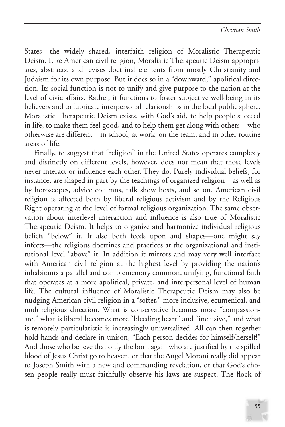States—the widely shared, interfaith religion of Moralistic Therapeutic Deism. Like American civil religion, Moralistic Therapeutic Deism appropriates, abstracts, and revises doctrinal elements from mostly Christianity and Judaism for its own purpose. But it does so in a "downward," apolitical direction. Its social function is not to unify and give purpose to the nation at the level of civic affairs. Rather, it functions to foster subjective well-being in its believers and to lubricate interpersonal relationships in the local public sphere. Moralistic Therapeutic Deism exists, with God's aid, to help people succeed in life, to make them feel good, and to help them get along with others—who otherwise are different—in school, at work, on the team, and in other routine areas of life.

Finally, to suggest that "religion" in the United States operates complexly and distinctly on different levels, however, does not mean that those levels never interact or influence each other. They do. Purely individual beliefs, for instance, are shaped in part by the teachings of organized religion—as well as by horoscopes, advice columns, talk show hosts, and so on. American civil religion is affected both by liberal religious activism and by the Religious Right operating at the level of formal religious organization. The same observation about interlevel interaction and influence is also true of Moralistic Therapeutic Deism. It helps to organize and harmonize individual religious beliefs "below" it. It also both feeds upon and shapes—one might say infects—the religious doctrines and practices at the organizational and institutional level "above" it. In addition it mirrors and may very well interface with American civil religion at the highest level by providing the nation's inhabitants a parallel and complementary common, unifying, functional faith that operates at a more apolitical, private, and interpersonal level of human life. The cultural influence of Moralistic Therapeutic Deism may also be nudging American civil religion in a "softer," more inclusive, ecumenical, and multireligious direction. What is conservative becomes more "compassionate," what is liberal becomes more "bleeding heart" and "inclusive," and what is remotely particularistic is increasingly universalized. All can then together hold hands and declare in unison, "Each person decides for himself/herself!" And those who believe that only the born again who are justified by the spilled blood of Jesus Christ go to heaven, or that the Angel Moroni really did appear to Joseph Smith with a new and commanding revelation, or that God's chosen people really must faithfully observe his laws are suspect. The flock of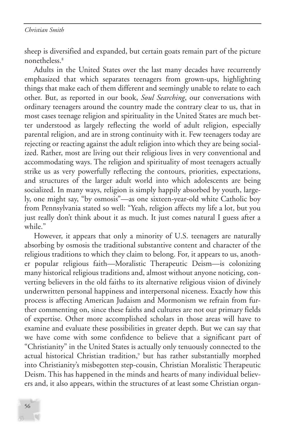sheep is diversified and expanded, but certain goats remain part of the picture nonetheless.<sup>8</sup>

Adults in the United States over the last many decades have recurrently emphasized that which separates teenagers from grown-ups, highlighting things that make each of them different and seemingly unable to relate to each other. But, as reported in our book, *Soul Searching*, our conversations with ordinary teenagers around the country made the contrary clear to us, that in most cases teenage religion and spirituality in the United States are much better understood as largely reflecting the world of adult religion, especially parental religion, and are in strong continuity with it. Few teenagers today are rejecting or reacting against the adult religion into which they are being socialized. Rather, most are living out their religious lives in very conventional and accommodating ways. The religion and spirituality of most teenagers actually strike us as very powerfully reflecting the contours, priorities, expectations, and structures of the larger adult world into which adolescents are being socialized. In many ways, religion is simply happily absorbed by youth, largely, one might say, "by osmosis"—as one sixteen-year-old white Catholic boy from Pennsylvania stated so well: "Yeah, religion affects my life a lot, but you just really don't think about it as much. It just comes natural I guess after a while."

However, it appears that only a minority of U.S. teenagers are naturally absorbing by osmosis the traditional substantive content and character of the religious traditions to which they claim to belong. For, it appears to us, another popular religious faith—Moralistic Therapeutic Deism—is colonizing many historical religious traditions and, almost without anyone noticing, converting believers in the old faiths to its alternative religious vision of divinely underwritten personal happiness and interpersonal niceness. Exactly how this process is affecting American Judaism and Mormonism we refrain from further commenting on, since these faiths and cultures are not our primary fields of expertise. Other more accomplished scholars in those areas will have to examine and evaluate these possibilities in greater depth. But we can say that we have come with some confidence to believe that a significant part of "Christianity" in the United States is actually only tenuously connected to the actual historical Christian tradition,<sup>9</sup> but has rather substantially morphed into Christianity's misbegotten step-cousin, Christian Moralistic Therapeutic Deism. This has happened in the minds and hearts of many individual believers and, it also appears, within the structures of at least some Christian organ-